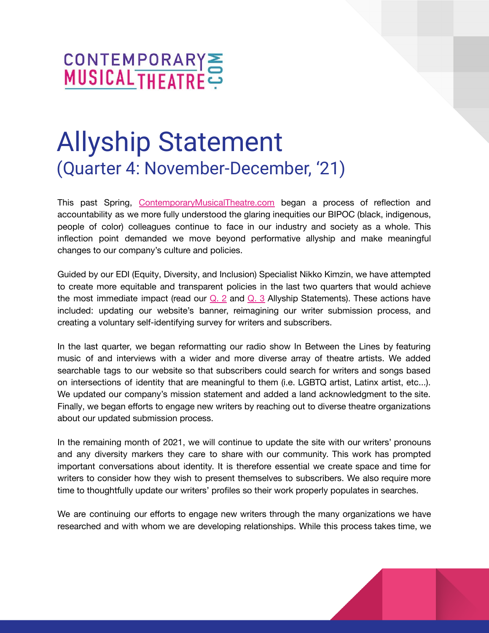

# Allyship Statement (Quarter 4: November-December, '21)

This past Spring, [ContemporaryMusicalTheatre.com](http://www.contemporarymusicaltheatre.com) began a process of reflection and accountability as we more fully understood the glaring inequities our BIPOC (black, indigenous, people of color) colleagues continue to face in our industry and society as a whole. This inflection point demanded we move beyond performative allyship and make meaningful changes to our company's culture and policies.

Guided by our EDI (Equity, Diversity, and Inclusion) Specialist Nikko Kimzin, we have attempted to create more equitable and transparent policies in the last two quarters that would achieve the most immediate impact (read our  $Q_1$ . 2 and  $Q_2$ . 3 Allyship Statements). These actions have included: updating our website's banner, reimagining our writer submission process, and creating a voluntary self-identifying survey for writers and subscribers.

In the last quarter, we began reformatting our radio show In Between the Lines by featuring music of and interviews with a wider and more diverse array of theatre artists. We added searchable tags to our website so that subscribers could search for writers and songs based on intersections of identity that are meaningful to them (i.e. LGBTQ artist, Latinx artist, etc...). We updated our company's mission statement and added a land acknowledgment to the site. Finally, we began efforts to engage new writers by reaching out to diverse theatre organizations about our updated submission process.

In the remaining month of 2021, we will continue to update the site with our writers' pronouns and any diversity markers they care to share with our community. This work has prompted important conversations about identity. It is therefore essential we create space and time for writers to consider how they wish to present themselves to subscribers. We also require more time to thoughtfully update our writers' profiles so their work properly populates in searches.

We are continuing our efforts to engage new writers through the many organizations we have researched and with whom we are developing relationships. While this process takes time, we

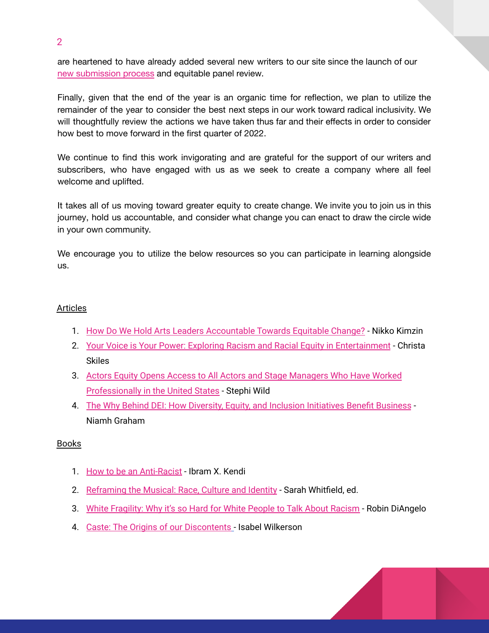are heartened to have already added several new writers to our site since the launch of our new [submission](https://www.contemporarymusicaltheatre.com/sites/cmtd/files/Updated%20Submission%20Guidelines.8721.pdf) process and equitable panel review.

Finally, given that the end of the year is an organic time for reflection, we plan to utilize the remainder of the year to consider the best next steps in our work toward radical inclusivity. We will thoughtfully review the actions we have taken thus far and their effects in order to consider how best to move forward in the first quarter of 2022.

We continue to find this work invigorating and are grateful for the support of our writers and subscribers, who have engaged with us as we seek to create a company where all feel welcome and uplifted.

It takes all of us moving toward greater equity to create change. We invite you to join us in this journey, hold us accountable, and consider what change you can enact to draw the circle wide in your own community.

We encourage you to utilize the below resources so you can participate in learning alongside us.

# Articles

- 1. How Do We Hold Arts Leaders [Accountable](https://nikkokimzin.medium.com) Towards Equitable Change? Nikko Kimzin
- 2. Your Voice is Your Power: Exploring Racism and Racial Equity in [Entertainment](https://dramatics.org/your-voice-is-your-power/) Christa Skiles
- 3. Actors Equity Opens Access to All Actors and Stage [Managers](https://www.broadwayworld.com/article/Actors-Equity-Opens-Access-to-All-Actors-and-Stage-Managers-Who-Have-Worked-Professionally-in-the-United-States-20210721) Who Have Worked [Professionally](https://www.broadwayworld.com/article/Actors-Equity-Opens-Access-to-All-Actors-and-Stage-Managers-Who-Have-Worked-Professionally-in-the-United-States-20210721) in the United States - Stephi Wild
- 4. The Why Behind DEI: How Diversity, Equity, and Inclusion [Initiatives](https://www.workhuman.com/resources/globoforce-blog/the-why-behind-d-i-how-diversity-and-inclusion-initiatives-benefit-business) Benefit Business Niamh Graham

# Books

- 1. How to be an [Anti-Racist](https://www.amazon.com/How-Be-Antiracist-Ibram-Kendi/dp/0525509283) Ibram X. Kendi
- 2. [Reframing](https://www.amazon.com/s?k=reframing+the+musical&crid=BWYGKNIWU4WJ&sprefix=reframing+the+musi%2Cstripbooks%2C143&ref=nb_sb_ss_fb_1_18_ts-doa-p) the Musical: Race, Culture and Identity Sarah Whitfield, ed.
- 3. White [Fragility:](https://www.amazon.com/White-Fragility-People-About-Racism/dp/0807047414/ref=pd_lpo_14_t_0/144-6991702-5345007?_encoding=UTF8&pd_rd_i=0807047414&pd_rd_r=ea2be3ff-3495-47e3-b0fb-22a69efc4984&pd_rd_w=1LpXg&pd_rd_wg=a7Ba8&pf_rd_p=a0d6e967-6561-454c-84f8-2ce2c92b79a6&pf_rd_r=NDT0RX62SB6VRYMYCW7S&psc=1&refRID=NDT0RX62SB6VRYMYCW7S) Why it's so Hard for White People to Talk About Racism Robin DiAngelo
- 4. Caste: The Origins of our [Discontents](https://www.amazon.com/Caste-Origins-Discontents-Isabel-Wilkerson/dp/0593230256) Isabel Wilkerson